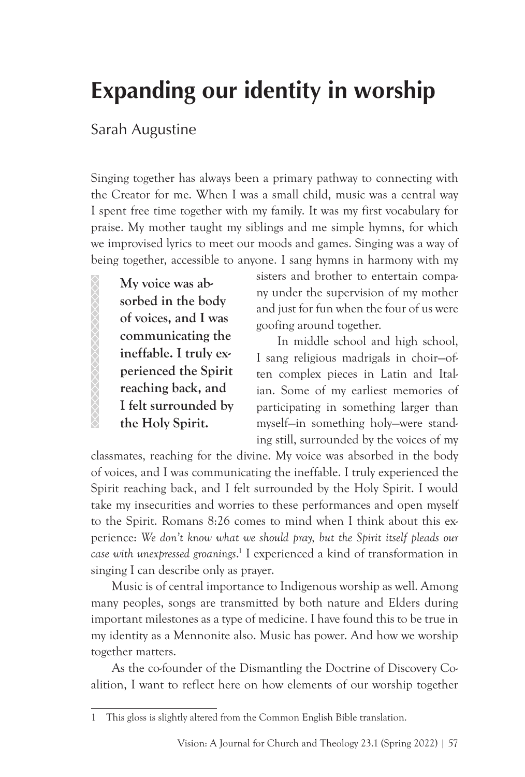# **Expanding our identity in worship**

## Sarah Augustine

Singing together has always been a primary pathway to connecting with the Creator for me. When I was a small child, music was a central way I spent free time together with my family. It was my first vocabulary for praise. My mother taught my siblings and me simple hymns, for which we improvised lyrics to meet our moods and games. Singing was a way of being together, accessible to anyone. I sang hymns in harmony with my

**My voice was absorbed in the body of voices, and I was communicating the ineffable. I truly experienced the Spirit reaching back, and I felt surrounded by the Holy Spirit.**

**SSSSSSSSSSSSSSSSSSSS** 

sisters and brother to entertain company under the supervision of my mother and just for fun when the four of us were goofing around together.

In middle school and high school, I sang religious madrigals in choir—often complex pieces in Latin and Italian. Some of my earliest memories of participating in something larger than myself—in something holy—were standing still, surrounded by the voices of my

classmates, reaching for the divine. My voice was absorbed in the body of voices, and I was communicating the ineffable. I truly experienced the Spirit reaching back, and I felt surrounded by the Holy Spirit. I would take my insecurities and worries to these performances and open myself to the Spirit. Romans 8:26 comes to mind when I think about this experience: *We don't know what we should pray, but the Spirit itself pleads our case with unexpressed groanings*. 1 I experienced a kind of transformation in singing I can describe only as prayer.

Music is of central importance to Indigenous worship as well. Among many peoples, songs are transmitted by both nature and Elders during important milestones as a type of medicine. I have found this to be true in my identity as a Mennonite also. Music has power. And how we worship together matters.

As the co-founder of the Dismantling the Doctrine of Discovery Coalition, I want to reflect here on how elements of our worship together

<sup>1</sup> This gloss is slightly altered from the Common English Bible translation.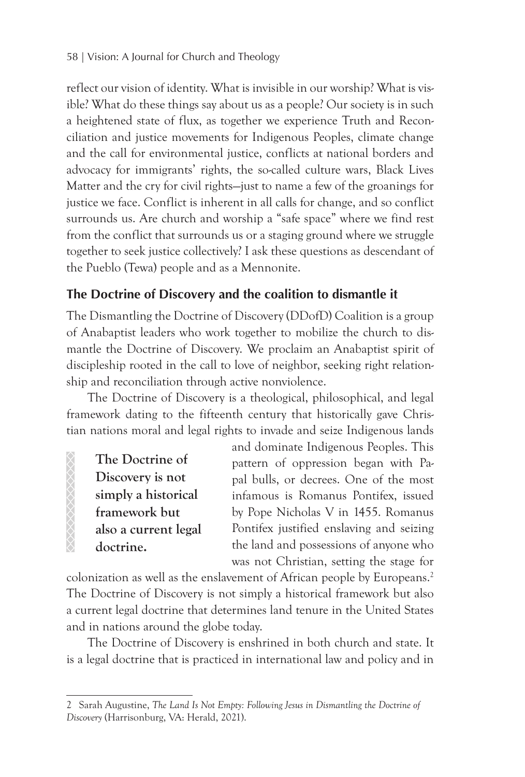reflect our vision of identity. What is invisible in our worship? What is visible? What do these things say about us as a people? Our society is in such a heightened state of flux, as together we experience Truth and Reconciliation and justice movements for Indigenous Peoples, climate change and the call for environmental justice, conflicts at national borders and advocacy for immigrants' rights, the so-called culture wars, Black Lives Matter and the cry for civil rights—just to name a few of the groanings for justice we face. Conflict is inherent in all calls for change, and so conflict surrounds us. Are church and worship a "safe space" where we find rest from the conflict that surrounds us or a staging ground where we struggle together to seek justice collectively? I ask these questions as descendant of the Pueblo (Tewa) people and as a Mennonite.

### **The Doctrine of Discovery and the coalition to dismantle it**

The Dismantling the Doctrine of Discovery (DDofD) Coalition is a group of Anabaptist leaders who work together to mobilize the church to dismantle the Doctrine of Discovery. We proclaim an Anabaptist spirit of discipleship rooted in the call to love of neighbor, seeking right relationship and reconciliation through active nonviolence.

The Doctrine of Discovery is a theological, philosophical, and legal framework dating to the fifteenth century that historically gave Christian nations moral and legal rights to invade and seize Indigenous lands

**The Doctrine of Discovery is not simply a historical framework but also a current legal doctrine.**

and dominate Indigenous Peoples. This pattern of oppression began with Papal bulls, or decrees. One of the most infamous is Romanus Pontifex, issued by Pope Nicholas V in 1455. Romanus Pontifex justified enslaving and seizing the land and possessions of anyone who was not Christian, setting the stage for

colonization as well as the enslavement of African people by Europeans.<sup>2</sup> The Doctrine of Discovery is not simply a historical framework but also a current legal doctrine that determines land tenure in the United States and in nations around the globe today.

The Doctrine of Discovery is enshrined in both church and state. It is a legal doctrine that is practiced in international law and policy and in

<sup>2</sup> Sarah Augustine, *The Land Is Not Empty: Following Jesus in Dismantling the Doctrine of Discovery* (Harrisonburg, VA: Herald, 2021).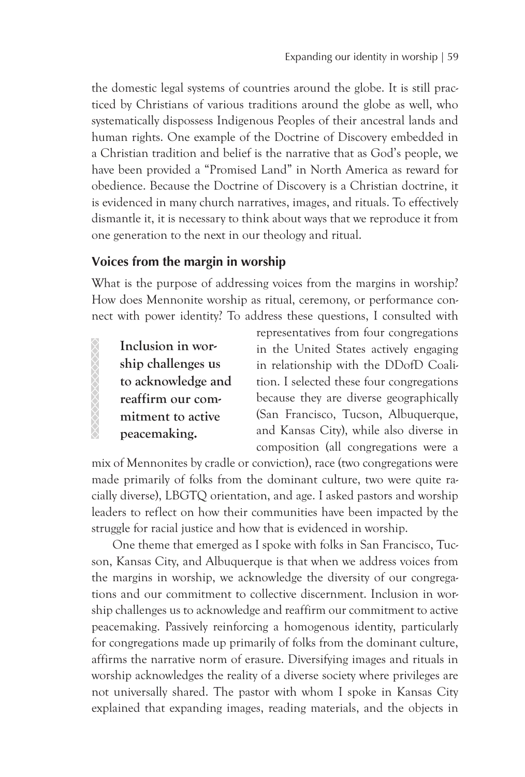the domestic legal systems of countries around the globe. It is still practiced by Christians of various traditions around the globe as well, who systematically dispossess Indigenous Peoples of their ancestral lands and human rights. One example of the Doctrine of Discovery embedded in a Christian tradition and belief is the narrative that as God's people, we have been provided a "Promised Land" in North America as reward for obedience. Because the Doctrine of Discovery is a Christian doctrine, it is evidenced in many church narratives, images, and rituals. To effectively dismantle it, it is necessary to think about ways that we reproduce it from one generation to the next in our theology and ritual.

#### **Voices from the margin in worship**

What is the purpose of addressing voices from the margins in worship? How does Mennonite worship as ritual, ceremony, or performance connect with power identity? To address these questions, I consulted with

**Inclusion in worship challenges us to acknowledge and reaffirm our commitment to active peacemaking.** 

XXXXXXXXXXXX

representatives from four congregations in the United States actively engaging in relationship with the DDofD Coalition. I selected these four congregations because they are diverse geographically (San Francisco, Tucson, Albuquerque, and Kansas City), while also diverse in composition (all congregations were a

mix of Mennonites by cradle or conviction), race (two congregations were made primarily of folks from the dominant culture, two were quite racially diverse), LBGTQ orientation, and age. I asked pastors and worship leaders to reflect on how their communities have been impacted by the struggle for racial justice and how that is evidenced in worship.

One theme that emerged as I spoke with folks in San Francisco, Tucson, Kansas City, and Albuquerque is that when we address voices from the margins in worship, we acknowledge the diversity of our congregations and our commitment to collective discernment. Inclusion in worship challenges us to acknowledge and reaffirm our commitment to active peacemaking. Passively reinforcing a homogenous identity, particularly for congregations made up primarily of folks from the dominant culture, affirms the narrative norm of erasure. Diversifying images and rituals in worship acknowledges the reality of a diverse society where privileges are not universally shared. The pastor with whom I spoke in Kansas City explained that expanding images, reading materials, and the objects in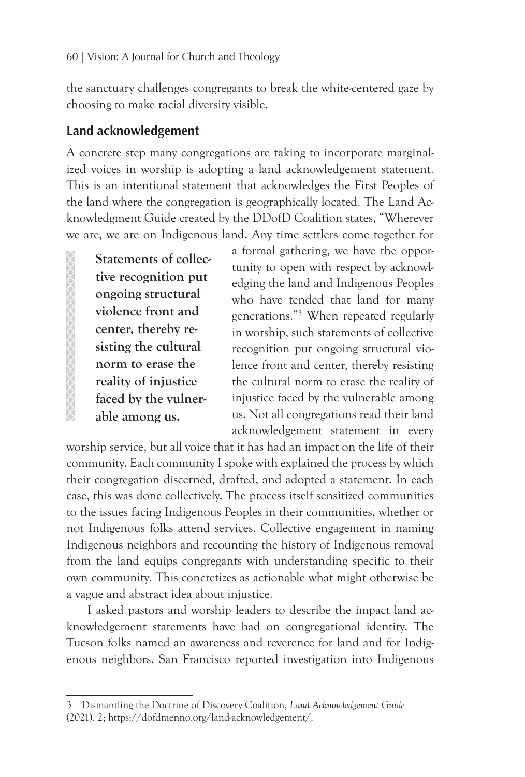the sanctuary challenges congregants to break the white-centered gaze by choosing to make racial diversity visible.

#### **Land acknowledgement**

A concrete step many congregations are taking to incorporate marginalized voices in worship is adopting a land acknowledgement statement. This is an intentional statement that acknowledges the First Peoples of the land where the congregation is geographically located. The Land Acknowledgment Guide created by the DDofD Coalition states, "Wherever we are, we are on Indigenous land. Any time settlers come together for

**Statements of collective recognition put ongoing structural violence front and center, thereby resisting the cultural norm to erase the reality of injustice faced by the vulnerable among us.**

a formal gathering, we have the opportunity to open with respect by acknowledging the land and Indigenous Peoples who have tended that land for many generations."3 When repeated regularly in worship, such statements of collective recognition put ongoing structural violence front and center, thereby resisting the cultural norm to erase the reality of injustice faced by the vulnerable among us. Not all congregations read their land acknowledgement statement in every

worship service, but all voice that it has had an impact on the life of their community. Each community I spoke with explained the process by which their congregation discerned, drafted, and adopted a statement. In each case, this was done collectively. The process itself sensitized communities to the issues facing Indigenous Peoples in their communities, whether or not Indigenous folks attend services. Collective engagement in naming Indigenous neighbors and recounting the history of Indigenous removal from the land equips congregants with understanding specific to their own community. This concretizes as actionable what might otherwise be a vague and abstract idea about injustice.

I asked pastors and worship leaders to describe the impact land acknowledgement statements have had on congregational identity. The Tucson folks named an awareness and reverence for land and for Indigenous neighbors. San Francisco reported investigation into Indigenous

<sup>3</sup> Dismantling the Doctrine of Discovery Coalition, *Land Acknowledgement Guide*  (2021), 2; https://dofdmenno.org/land-acknowledgement/.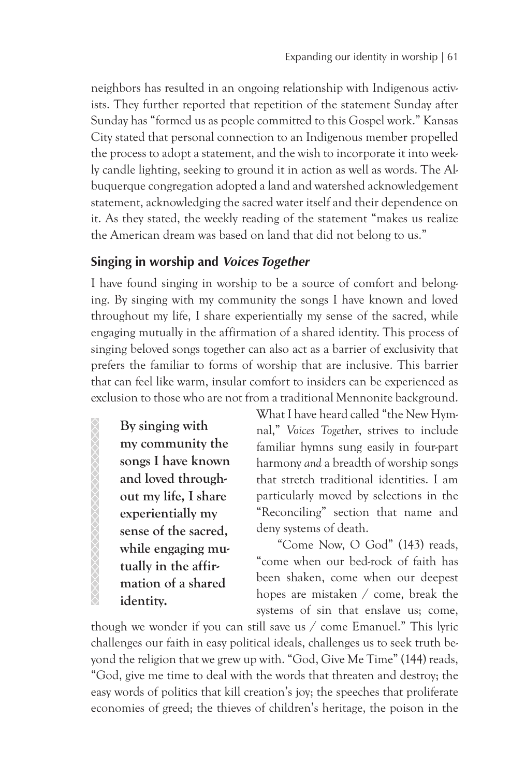neighbors has resulted in an ongoing relationship with Indigenous activists. They further reported that repetition of the statement Sunday after Sunday has "formed us as people committed to this Gospel work." Kansas City stated that personal connection to an Indigenous member propelled the process to adopt a statement, and the wish to incorporate it into weekly candle lighting, seeking to ground it in action as well as words. The Albuquerque congregation adopted a land and watershed acknowledgement statement, acknowledging the sacred water itself and their dependence on it. As they stated, the weekly reading of the statement "makes us realize the American dream was based on land that did not belong to us."

#### **Singing in worship and** *Voices Together*

I have found singing in worship to be a source of comfort and belonging. By singing with my community the songs I have known and loved throughout my life, I share experientially my sense of the sacred, while engaging mutually in the affirmation of a shared identity. This process of singing beloved songs together can also act as a barrier of exclusivity that prefers the familiar to forms of worship that are inclusive. This barrier that can feel like warm, insular comfort to insiders can be experienced as exclusion to those who are not from a traditional Mennonite background.

**By singing with my community the songs I have known and loved throughout my life, I share experientially my sense of the sacred, while engaging mutually in the affirmation of a shared identity.** 

88888888888888888888

What I have heard called "the New Hymnal," *Voices Together*, strives to include familiar hymns sung easily in four-part harmony *and* a breadth of worship songs that stretch traditional identities. I am particularly moved by selections in the "Reconciling" section that name and deny systems of death.

"Come Now, O God" (143) reads, "come when our bed-rock of faith has been shaken, come when our deepest hopes are mistaken / come, break the systems of sin that enslave us; come,

though we wonder if you can still save us / come Emanuel." This lyric challenges our faith in easy political ideals, challenges us to seek truth beyond the religion that we grew up with. "God, Give Me Time" (144) reads, "God, give me time to deal with the words that threaten and destroy; the easy words of politics that kill creation's joy; the speeches that proliferate economies of greed; the thieves of children's heritage, the poison in the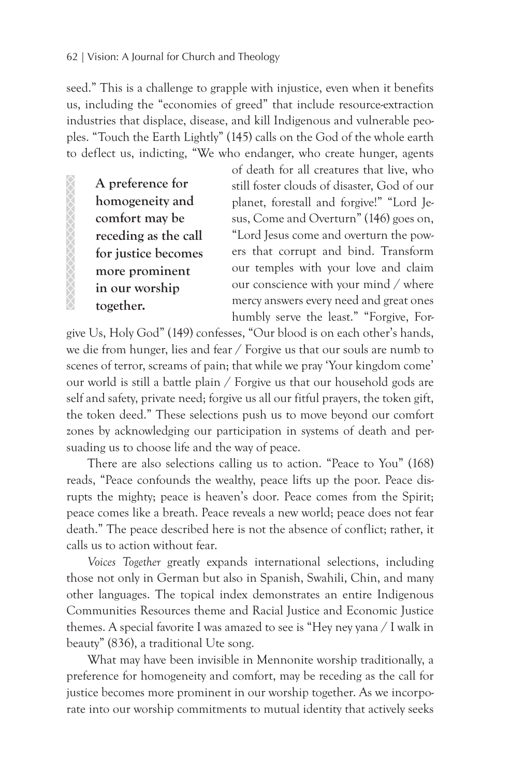seed." This is a challenge to grapple with injustice, even when it benefits us, including the "economies of greed" that include resource-extraction industries that displace, disease, and kill Indigenous and vulnerable peoples. "Touch the Earth Lightly" (145) calls on the God of the whole earth to deflect us, indicting, "We who endanger, who create hunger, agents

**A preference for homogeneity and comfort may be receding as the call for justice becomes more prominent in our worship together.** 

of death for all creatures that live, who still foster clouds of disaster, God of our planet, forestall and forgive!" "Lord Jesus, Come and Overturn" (146) goes on, "Lord Jesus come and overturn the powers that corrupt and bind. Transform our temples with your love and claim our conscience with your mind / where mercy answers every need and great ones humbly serve the least." "Forgive, For-

give Us, Holy God" (149) confesses, "Our blood is on each other's hands, we die from hunger, lies and fear / Forgive us that our souls are numb to scenes of terror, screams of pain; that while we pray 'Your kingdom come' our world is still a battle plain / Forgive us that our household gods are self and safety, private need; forgive us all our fitful prayers, the token gift, the token deed." These selections push us to move beyond our comfort zones by acknowledging our participation in systems of death and persuading us to choose life and the way of peace.

There are also selections calling us to action. "Peace to You" (168) reads, "Peace confounds the wealthy, peace lifts up the poor. Peace disrupts the mighty; peace is heaven's door. Peace comes from the Spirit; peace comes like a breath. Peace reveals a new world; peace does not fear death." The peace described here is not the absence of conflict; rather, it calls us to action without fear.

*Voices Together* greatly expands international selections, including those not only in German but also in Spanish, Swahili, Chin, and many other languages. The topical index demonstrates an entire Indigenous Communities Resources theme and Racial Justice and Economic Justice themes. A special favorite I was amazed to see is "Hey ney yana / I walk in beauty" (836), a traditional Ute song.

What may have been invisible in Mennonite worship traditionally, a preference for homogeneity and comfort, may be receding as the call for justice becomes more prominent in our worship together. As we incorporate into our worship commitments to mutual identity that actively seeks